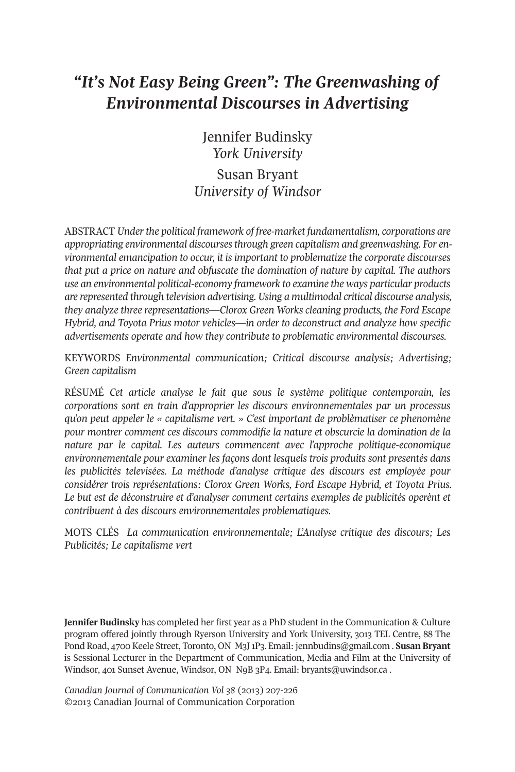# *"It's Not Easy Being Green": The Greenwashing of Environmental Discourses in Advertising*

Jennifer Budinsky *York University*

Susan Bryant *University of Windsor*

ABSTRACT *Underthe political framework of free-market fundamentalism, corporations are appropriating environmental discoursesthrough green capitalism and greenwashing. For environmental emancipation to occur, it is important to problematize the corporate discourses that put a price on nature and obfuscate the domination of nature by capital. The authors use an environmental political-economy framework to examine the ways particular products are represented through television advertising. Using a multimodal critical discourse analysis, they analyze three representations—Clorox Green Works cleaning products, the Ford Escape Hybrid, and Toyota Prius motor vehicles—in order to deconstruct and analyze how specific advertisements operate and how they contribute to problematic environmental discourses.*

KEYWORDS *Environmental communication; Critical discourse analysis; Advertising; Green capitalism*

RÉSUMÉ *Cet article analyse le fait que sous le système politique contemporain, les corporations sont en train d'approprier les discours environnementales par un processus qu'on peut appeler le « capitalisme vert. » C'est important de problèmatiser ce phenomène pour montrer comment ces discours commodifie la nature et obscurcie la domination de la nature par le capital. Les auteurs commencent avec l'approche politique-economique environnementale pour examiner les façons dont lesquels trois produits sont presentés dans les publicités televisées. La méthode d'analyse critique des discours est employée pour considérer trois représentations: Clorox Green Works, Ford Escape Hybrid, et Toyota Prius. Le but est de déconstruire et d'analyser comment certains exemples de publicités operènt et contribuent à des discours environnementales problematiques.*

MOTS CLÉS *La communication environnementale; L'Analyse critique des discours; Les Publicités; Le capitalisme vert*

**Jennifer Budinsky** has completed her first year as a PhD student in the Communication & Culture program offered jointly through Ryerson University and York University, 3013 TEL Centre, 88 The Pond Road, 4700 Keele Street, Toronto, ON M3J1P3. Email: [jennbudins@gmail.com](mailto:jennbudins@gmail.com) . **Susan Bryant** is Sessional Lecturer in the Department of Communication, Media and Film at the University of Windsor, 401 Sunset Avenue, Windsor, ON N9B 3P4. Email: [bryants@uwindsor.ca](mailto:bryants@uwindsor.ca) .

*Canadian Journal of Communication Vol 38* (2013) 207-226 ©2013 Canadian Journal of Communication Corporation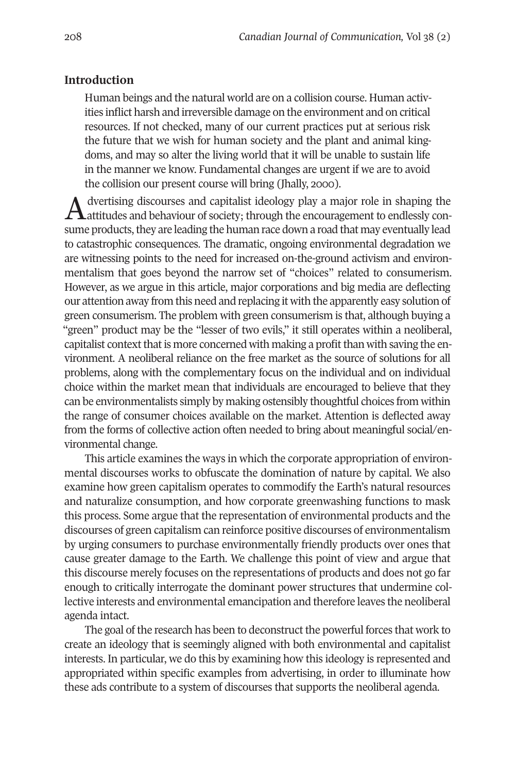# **Introduction**

Human beings and the natural world are on a collision course. Human activities inflict harsh and irreversible damage on the environment and on critical resources. If not checked, many of our current practices put at serious risk the future that we wish for human society and the plant and animal kingdoms, and may so alter the living world that it will be unable to sustain life in the manner we know. Fundamental changes are urgent if we are to avoid the collision our present course will bring (Jhally, 2000).

 $A$  dvertising discourses and capitalist ideology play a major role in shaping the actuative and behaviour of society; through the encouragement to endlessly consume products, they are leading the human race down a road that may eventually lead to catastrophic consequences. The dramatic, ongoing environmental degradation we are witnessing points to the need for increased on-the-ground activism and environmentalism that goes beyond the narrow set of "choices" related to consumerism. However, as we argue in this article, major corporations and big media are deflecting our attention away from this need and replacing it with the apparently easy solution of green consumerism. The problem with green consumerism is that, although buying a "green" product may be the "lesser of two evils," it still operates within a neoliberal, capitalist context that is more concerned with making a profit than with saving the environment. A neoliberal reliance on the free market as the source of solutions for all problems, along with the complementary focus on the individual and on individual choice within the market mean that individuals are encouraged to believe that they can be environmentalists simply by making ostensibly thoughtful choices from within the range of consumer choices available on the market. Attention is deflected away from the forms of collective action often needed to bring about meaningful social/environmental change.

This article examines the ways in which the corporate appropriation of environmental discourses works to obfuscate the domination of nature by capital. We also examine how green capitalism operates to commodify the Earth's natural resources and naturalize consumption, and how corporate greenwashing functions to mask this process. Some argue that the representation of environmental products and the discourses of green capitalism can reinforce positive discourses of environmentalism by urging consumers to purchase environmentally friendly products over ones that cause greater damage to the Earth. We challenge this point of view and argue that this discourse merely focuses on the representations of products and does not go far enough to critically interrogate the dominant power structures that undermine collective interests and environmental emancipation and therefore leaves the neoliberal agenda intact.

The goal of the research has been to deconstruct the powerful forces that work to create an ideology that is seemingly aligned with both environmental and capitalist interests. In particular, we do this by examining how this ideology is represented and appropriated within specific examples from advertising, in order to illuminate how these ads contribute to a system of discourses that supports the neoliberal agenda.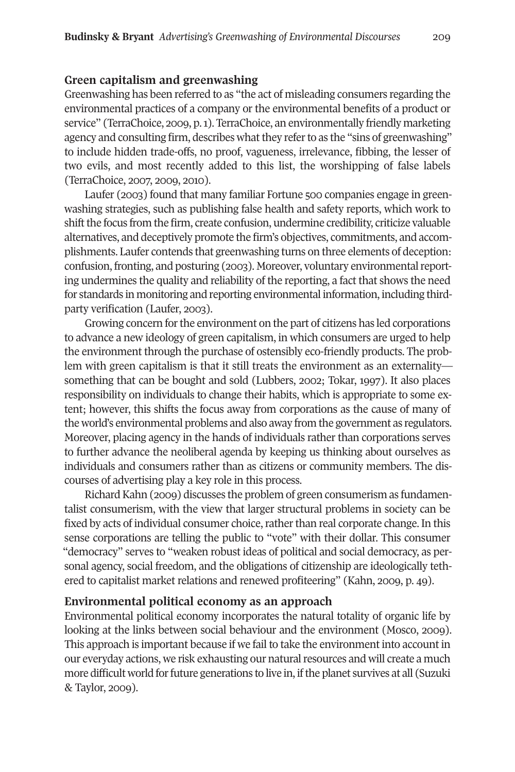# **Green capitalism and greenwashing**

Greenwashing has been referred to as "the act of misleading consumers regarding the environmental practices of a company or the environmental benefits of a product or service" (TerraChoice, 2009, p.1). TerraChoice, an environmentally friendly marketing agency and consulting firm, describes what they refer to as the "sins of greenwashing" to include hidden trade-offs, no proof, vagueness, irrelevance, fibbing, the lesser of two evils, and most recently added to this list, the worshipping of false labels (TerraChoice, 2007, 2009, 2010).

Laufer (2003) found that many familiar Fortune 500 companies engage in greenwashing strategies, such as publishing false health and safety reports, which work to shift the focus from the firm, create confusion, undermine credibility, criticize valuable alternatives, and deceptively promote the firm's objectives, commitments, and accomplishments. Laufer contends that greenwashing turns on three elements of deception: confusion, fronting, and posturing (2003). Moreover, voluntary environmental reporting undermines the quality and reliability of the reporting, a fact that shows the need for standards in monitoring and reporting environmental information, including thirdparty verification (Laufer, 2003).

Growing concern forthe environment on the part of citizens has led corporations to advance a new ideology of green capitalism, in which consumers are urged to help the environment through the purchase of ostensibly eco-friendly products. The problem with green capitalism is that it still treats the environment as an externality something that can be bought and sold (Lubbers, 2002; Tokar, 1997). It also places responsibility on individuals to change their habits, which is appropriate to some extent; however, this shifts the focus away from corporations as the cause of many of the world's environmental problems and also away from the government as regulators. Moreover, placing agency in the hands of individuals rather than corporations serves to further advance the neoliberal agenda by keeping us thinking about ourselves as individuals and consumers rather than as citizens or community members. The discourses of advertising play a key role in this process.

Richard Kahn (2009) discusses the problem of green consumerism as fundamentalist consumerism, with the view that larger structural problems in society can be fixed by acts of individual consumer choice, rather than real corporate change. In this sense corporations are telling the public to "vote" with their dollar. This consumer "democracy" serves to "weaken robust ideas of political and social democracy, as personal agency, social freedom, and the obligations of citizenship are ideologically tethered to capitalist market relations and renewed profiteering" (Kahn, 2009, p. 49).

# **Environmental political economy as an approach**

Environmental political economy incorporates the natural totality of organic life by looking at the links between social behaviour and the environment (Mosco, 2009). This approach is important because if we fail to take the environment into account in our everyday actions, we risk exhausting our natural resources and will create a much more difficult world for future generations to live in, if the planet survives at all (Suzuki & Taylor, 2009).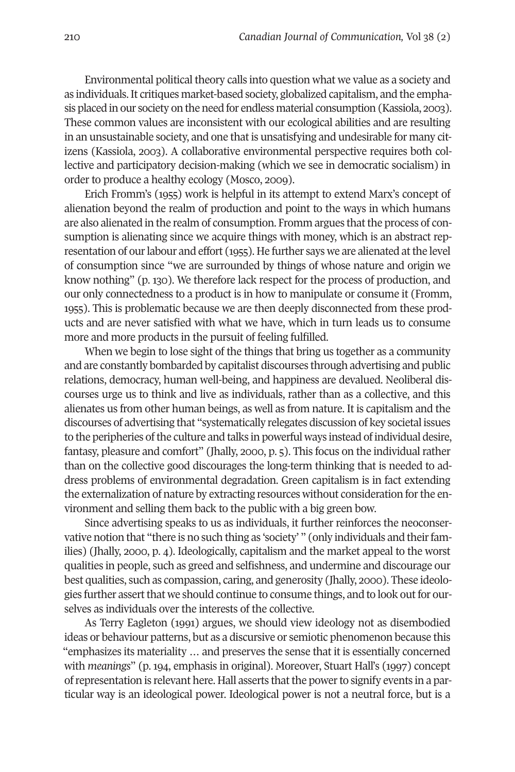Environmental political theory calls into question what we value as a society and as individuals.It critiques market-based society, globalized capitalism, and the emphasis placed in our society on the need for endless material consumption (Kassiola, 2003). These common values are inconsistent with our ecological abilities and are resulting in an unsustainable society, and one that is unsatisfying and undesirable for many citizens (Kassiola, 2003). A collaborative environmental perspective requires both collective and participatory decision-making (which we see in democratic socialism) in order to produce a healthy ecology (Mosco, 2009).

Erich Fromm's (1955) work is helpful in its attempt to extend Marx's concept of alienation beyond the realm of production and point to the ways in which humans are also alienated in the realm of consumption. Fromm argues that the process of consumption is alienating since we acquire things with money, which is an abstract representation of our labour and effort (1955). He further says we are alienated at the level of consumption since "we are surrounded by things of whose nature and origin we know nothing" (p. 130). We therefore lack respect for the process of production, and our only connectedness to a product is in how to manipulate or consume it (Fromm, 1955). This is problematic because we are then deeply disconnected from these products and are never satisfied with what we have, which in turn leads us to consume more and more products in the pursuit of feeling fulfilled.

When we begin to lose sight of the things that bring us together as a community and are constantly bombarded by capitalist discourses through advertising and public relations, democracy, human well-being, and happiness are devalued. Neoliberal discourses urge us to think and live as individuals, rather than as a collective, and this alienates us from other human beings, as well as from nature. It is capitalism and the discourses of advertising that "systematically relegates discussion of key societal issues to the peripheries of the culture and talks in powerful ways instead of individual desire, fantasy, pleasure and comfort" (Jhally, 2000, p. 5). This focus on the individual rather than on the collective good discourages the long-term thinking that is needed to address problems of environmental degradation. Green capitalism is in fact extending the externalization of nature by extracting resources without consideration forthe environment and selling them back to the public with a big green bow.

Since advertising speaks to us as individuals, it further reinforces the neoconservative notion that "there is no such thing as 'society' " (only individuals and their families) (Jhally, 2000, p. 4). Ideologically, capitalism and the market appeal to the worst qualities in people, such as greed and selfishness, and undermine and discourage our best qualities, such as compassion, caring, and generosity (Jhally, 2000). These ideologies further assert that we should continue to consume things, and to look out for ourselves as individuals over the interests of the collective.

As Terry Eagleton (1991) argues, we should view ideology not as disembodied ideas or behaviour patterns, but as a discursive or semiotic phenomenon because this "emphasizes its materiality … and preserves the sense that it is essentially concerned with *meanings*" (p. 194, emphasis in original). Moreover, Stuart Hall's (1997) concept of representation is relevant here. Hall asserts that the power to signify events in a particular way is an ideological power. Ideological power is not a neutral force, but is a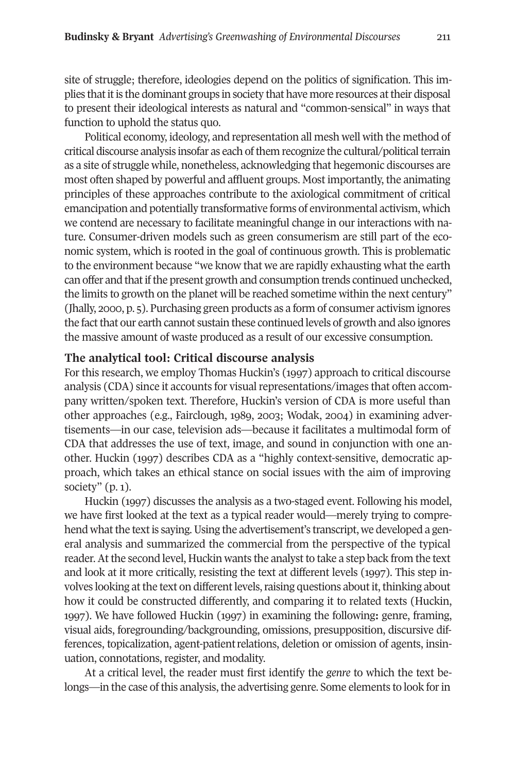site of struggle; therefore, ideologies depend on the politics of signification. This implies that it is the dominant groups in society that have more resources at their disposal to present their ideological interests as natural and "common-sensical" in ways that function to uphold the status quo.

Political economy, ideology, and representation all mesh well with the method of critical discourse analysis insofar as each of them recognize the cultural/political terrain as a site of struggle while, nonetheless, acknowledging that hegemonic discourses are most often shaped by powerful and affluent groups. Most importantly, the animating principles of these approaches contribute to the axiological commitment of critical emancipation and potentially transformative forms of environmental activism, which we contend are necessary to facilitate meaningful change in our interactions with nature. Consumer-driven models such as green consumerism are still part of the economic system, which is rooted in the goal of continuous growth. This is problematic to the environment because "we know that we are rapidly exhausting what the earth can offer and that if the present growth and consumption trends continued unchecked, the limits to growth on the planet will be reached sometime within the next century" (Jhally, 2000, p. 5). Purchasing green products as a form of consumer activism ignores the fact that our earth cannot sustain these continued levels of growth and also ignores the massive amount of waste produced as a result of our excessive consumption.

## **The analytical tool: Critical discourse analysis**

For this research, we employ Thomas Huckin's (1997) approach to critical discourse analysis (CDA) since it accounts for visual representations/images that often accompany written/spoken text. Therefore, Huckin's version of CDA is more useful than other approaches (e.g., Fairclough, 1989, 2003; Wodak, 2004) in examining advertisements—in our case, television ads—because it facilitates a multimodal form of CDA that addresses the use of text, image, and sound in conjunction with one another. Huckin (1997) describes CDA as a "highly context-sensitive, democratic approach, which takes an ethical stance on social issues with the aim of improving society"  $(p, 1)$ .

Huckin (1997) discusses the analysis as a two-staged event. Following his model, we have first looked at the text as a typical reader would—merely trying to comprehend what the text is saying. Using the advertisement's transcript, we developed a general analysis and summarized the commercial from the perspective of the typical reader. At the second level, Huckin wants the analyst to take a step back from the text and look at it more critically, resisting the text at different levels (1997). This step involves looking at the text on different levels, raising questions about it, thinking about how it could be constructed differently, and comparing it to related texts (Huckin, 1997). We have followed Huckin (1997) in examining the following**:** genre, framing, visual aids, foregrounding/backgrounding, omissions, presupposition, discursive differences, topicalization, agent-patient relations, deletion or omission of agents, insinuation, connotations, register, and modality.

At a critical level, the reader must first identify the *genre* to which the text belongs—in the case of this analysis, the advertising genre. Some elements to look for in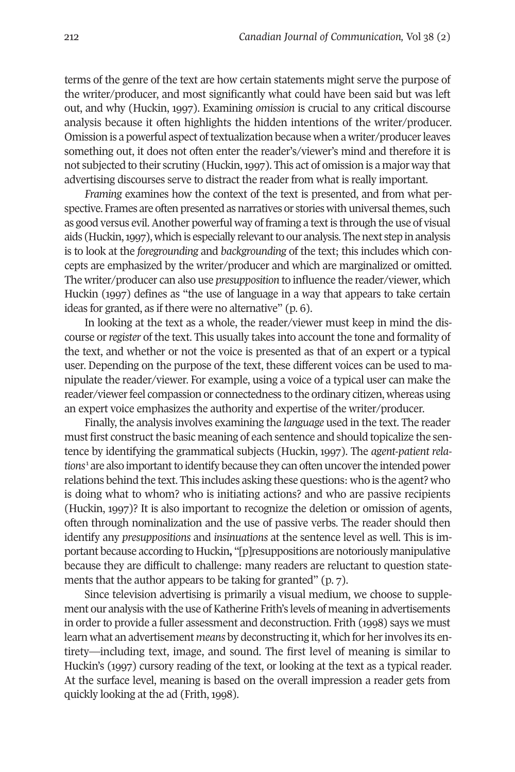terms of the genre of the text are how certain statements might serve the purpose of the writer/producer, and most significantly what could have been said but was left out, and why (Huckin, 1997). Examining *omission* is crucial to any critical discourse analysis because it often highlights the hidden intentions of the writer/producer. Omission is a powerful aspect of textualization because when a writer/producer leaves something out, it does not often enter the reader's/viewer's mind and therefore it is not subjected to their scrutiny (Huckin,1997). This act of omission is a major way that advertising discourses serve to distract the reader from what is really important.

*Framing* examines how the context of the text is presented, and from what perspective. Frames are often presented as narratives or stories with universal themes, such as good versus evil. Another powerful way of framing a text is through the use of visual aids (Huckin, 1997), which is especially relevant to our analysis. The next step in analysis is to look at the *foregrounding* and *backgrounding* of the text; this includes which concepts are emphasized by the writer/producer and which are marginalized or omitted. The writer/producer can also use *presupposition* to influence the reader/viewer, which Huckin (1997) defines as "the use of language in a way that appears to take certain ideas for granted, as if there were no alternative" (p. 6).

In looking at the text as a whole, the reader/viewer must keep in mind the discourse or*register* of the text. This usually takes into account the tone and formality of the text, and whether or not the voice is presented as that of an expert or a typical user. Depending on the purpose of the text, these different voices can be used to manipulate the reader/viewer. For example, using a voice of a typical user can make the reader/viewer feel compassion or connectedness to the ordinary citizen, whereas using an expert voice emphasizes the authority and expertise of the writer/producer.

Finally, the analysis involves examining the *language* used in the text. The reader must first construct the basic meaning of each sentence and should topicalize the sentence by identifying the grammatical subjects (Huckin, 1997). The *agent-patient relations*<sup>1</sup> are also important to identify because they can often uncover the intended power relations behind the text. This includes asking these questions: who is the agent? who is doing what to whom? who is initiating actions? and who are passive recipients (Huckin, 1997)? It is also important to recognize the deletion or omission of agents, often through nominalization and the use of passive verbs. The reader should then identify any *presuppositions* and *insinuations* at the sentence level as well. This is important because according to Huckin**,** "[p]resuppositions are notoriously manipulative because they are difficult to challenge: many readers are reluctant to question statements that the author appears to be taking for granted" (p. 7).

Since television advertising is primarily a visual medium, we choose to supplement our analysis with the use of Katherine Frith's levels of meaning in advertisements in order to provide a fuller assessment and deconstruction. Frith (1998) says we must learn what an advertisement *means* by deconstructing it, which for herinvolves its entirety—including text, image, and sound. The first level of meaning is similar to Huckin's (1997) cursory reading of the text, or looking at the text as a typical reader. At the surface level, meaning is based on the overall impression a reader gets from quickly looking at the ad (Frith, 1998).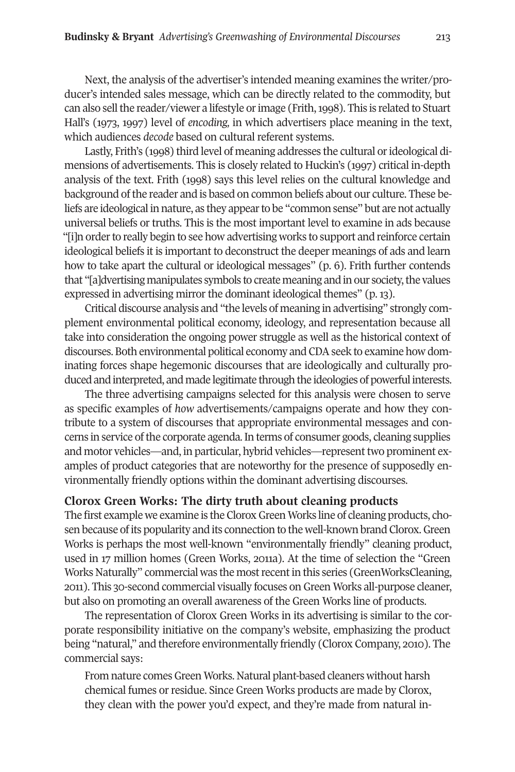Next, the analysis of the advertiser's intended meaning examines the writer/producer's intended sales message, which can be directly related to the commodity, but can also sell the reader/viewer a lifestyle or image (Frith, 1998). This is related to Stuart Hall's (1973, 1997) level of *encoding,* in which advertisers place meaning in the text, which audiences *decode* based on cultural referent systems.

Lastly, Frith's (1998) third level of meaning addresses the cultural or ideological dimensions of advertisements. This is closely related to Huckin's (1997) critical in-depth analysis of the text. Frith (1998) says this level relies on the cultural knowledge and background ofthe reader and is based on common beliefs about our culture. These beliefs are ideological in nature, as they appearto be "common sense" but are not actually universal beliefs or truths. This is the most important level to examine in ads because "[i]n order to really begin to see how advertising works to support and reinforce certain ideological beliefs it is important to deconstruct the deeper meanings of ads and learn how to take apart the cultural or ideological messages" (p. 6). Frith further contends that "[a]dvertising manipulates symbols to create meaning and inour society,the values expressed in advertising mirror the dominant ideological themes" (p. 13).

Critical discourse analysis and "the levels of meaning in advertising" strongly complement environmental political economy, ideology, and representation because all take into consideration the ongoing power struggle as well as the historical context of discourses. Both environmental political economy and CDA seek to examine how dominating forces shape hegemonic discourses that are ideologically and culturally produced and interpreted, and made legitimate through the ideologies of powerful interests.

The three advertising campaigns selected for this analysis were chosen to serve as specific examples of *how* advertisements/campaigns operate and how they contribute to a system of discourses that appropriate environmental messages and concerns in service ofthe corporate agenda.In terms of consumer goods, cleaning supplies and motor vehicles—and, in particular, hybrid vehicles—representtwo prominent examples of product categories that are noteworthy for the presence of supposedly environmentally friendly options within the dominant advertising discourses.

## **Clorox Green Works: The dirty truth about cleaning products**

The first example we examine is the CloroxGreenWorks line of cleaning products, chosen because ofits popularity and its connection to the well-known brand Clorox.Green Works is perhaps the most well-known "environmentally friendly" cleaning product, used in 17 million homes (Green Works, 2011a). At the time of selection the "Green Works Naturally" commercial was the mostrecentin this series (GreenWorksCleaning, 2011). This 30-second commercial visually focuses on Green Works all-purpose cleaner, but also on promoting an overall awareness of the Green Works line of products.

The representation of Clorox Green Works in its advertising is similar to the corporate responsibility initiative on the company's website, emphasizing the product being "natural," and therefore environmentally friendly (Clorox Company, 2010). The commercial says:

From nature comes Green Works. Natural plant-based cleaners without harsh chemical fumes or residue. Since Green Works products are made by Clorox, they clean with the power you'd expect, and they're made from natural in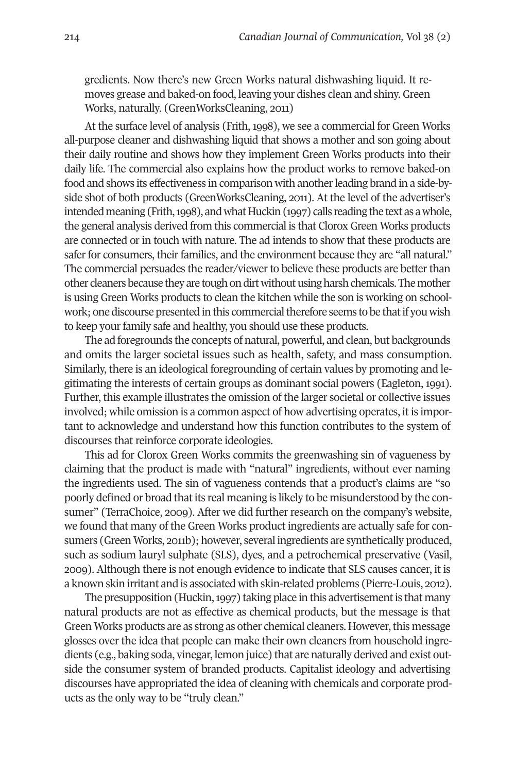gredients. Now there's new Green Works natural dishwashing liquid. It removes grease and baked-on food, leaving your dishes clean and shiny. Green Works, naturally. (GreenWorksCleaning, 2011)

At the surface level of analysis (Frith, 1998), we see a commercial for Green Works all-purpose cleaner and dishwashing liquid that shows a mother and son going about their daily routine and shows how they implement Green Works products into their daily life. The commercial also explains how the product works to remove baked-on food and shows its effectiveness in comparison with anotherleading brand in a side-byside shot of both products (GreenWorksCleaning, 2011). At the level of the advertiser's intended meaning (Frith, 1998), and what Huckin (1997) calls reading the text as a whole, the general analysis derived from this commercial is that Clorox Green Works products are connected or in touch with nature. The ad intends to show that these products are safer for consumers, their families, and the environment because they are "all natural." The commercial persuades the reader/viewer to believe these products are better than other cleaners because they are tough on dirt without using harsh chemicals. The mother is using Green Works products to clean the kitchen while the son is working on schoolwork; one discourse presented in this commercial therefore seems to be that if you wish to keep your family safe and healthy, you should use these products.

The ad foregrounds the concepts of natural, powerful, and clean, but backgrounds and omits the larger societal issues such as health, safety, and mass consumption. Similarly, there is an ideological foregrounding of certain values by promoting and legitimating the interests of certain groups as dominant social powers (Eagleton, 1991). Further, this example illustrates the omission of the larger societal or collective issues involved; while omission is a common aspect of how advertising operates, it is important to acknowledge and understand how this function contributes to the system of discourses that reinforce corporate ideologies.

This ad for Clorox Green Works commits the greenwashing sin of vagueness by claiming that the product is made with "natural" ingredients, without ever naming the ingredients used. The sin of vagueness contends that a product's claims are "so poorly defined or broad thatits real meaning is likely to be misunderstood by the consumer" (TerraChoice, 2009). After we did further research on the company's website, we found that many of the Green Works product ingredients are actually safe for consumers (Green Works, 2011b); however, several ingredients are synthetically produced, such as sodium lauryl sulphate (SLS), dyes, and a petrochemical preservative (Vasil, 2009). Although there is not enough evidence to indicate that SLS causes cancer, it is a known skin irritant and is associated with skin-related problems (Pierre-Louis, 2012).

The presupposition (Huckin, 1997) taking place in this advertisement is that many natural products are not as effective as chemical products, but the message is that Green Works products are as strong as other chemical cleaners. However, this message glosses over the idea that people can make their own cleaners from household ingredients (e.g., baking soda, vinegar, lemon juice) that are naturally derived and exist outside the consumer system of branded products. Capitalist ideology and advertising discourses have appropriated the idea of cleaning with chemicals and corporate products as the only way to be "truly clean."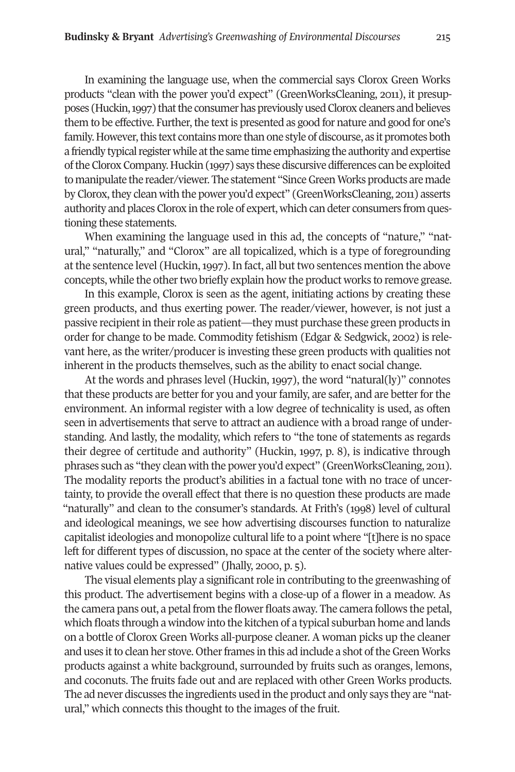In examining the language use, when the commercial says Clorox Green Works products "clean with the power you'd expect" (GreenWorksCleaning, 2011), it presupposes (Huckin, 1997) that the consumer has previously used Clorox cleaners and believes them to be effective. Further, the text is presented as good for nature and good for one's family. However, this text contains more than one style of discourse, as it promotes both a friendly typical register while at the same time emphasizing the authority and expertise oftheCloroxCompany.Huckin(1997) says these discursive differences canbe exploited to manipulate the reader/viewer. The statement "Since Green Works products are made by Clorox,they clean with the power you'd expect" (GreenWorksCleaning, 2011) asserts authority and places Clorox in the role of expert, which can deter consumers from questioning these statements.

When examining the language used in this ad, the concepts of "nature," "natural," "naturally," and "Clorox" are all topicalized, which is a type of foregrounding at the sentence level (Huckin,1997). In fact, all but two sentences mention the above concepts, while the other two briefly explain how the product works to remove grease.

In this example, Clorox is seen as the agent, initiating actions by creating these green products, and thus exerting power. The reader/viewer, however, is not just a passive recipient in their role as patient—they must purchase these green products in order for change to be made. Commodity fetishism (Edgar & Sedgwick, 2002) is relevant here, as the writer/producer is investing these green products with qualities not inherent in the products themselves, such as the ability to enact social change.

At the words and phrases level (Huckin, 1997), the word "natural(ly)" connotes that these products are better for you and your family, are safer, and are better for the environment. An informal register with a low degree of technicality is used, as often seen in advertisements that serve to attract an audience with a broad range of understanding. And lastly, the modality, which refers to "the tone of statements as regards their degree of certitude and authority" (Huckin, 1997, p. 8), is indicative through phrases such as "they clean with the power you'd expect" (GreenWorksCleaning, 2011). The modality reports the product's abilities in a factual tone with no trace of uncertainty, to provide the overall effect that there is no question these products are made "naturally" and clean to the consumer's standards. At Frith's (1998) level of cultural and ideological meanings, we see how advertising discourses function to naturalize capitalist ideologies and monopolize cultural life to a point where "[t]here is no space left for different types of discussion, no space at the center of the society where alternative values could be expressed" (Jhally, 2000, p. 5).

The visual elements play a significant role in contributing to the greenwashing of this product. The advertisement begins with a close-up of a flower in a meadow. As the camera pans out, a petal from the flower floats away. The camera follows the petal, which floats through a window into the kitchen of a typical suburban home and lands on a bottle of Clorox Green Works all-purpose cleaner. A woman picks up the cleaner and uses it to clean her stove. Other frames in this ad include a shot of the Green Works products against a white background, surrounded by fruits such as oranges, lemons, and coconuts. The fruits fade out and are replaced with other Green Works products. The ad never discusses the ingredients used in the product and only says they are "natural," which connects this thought to the images of the fruit.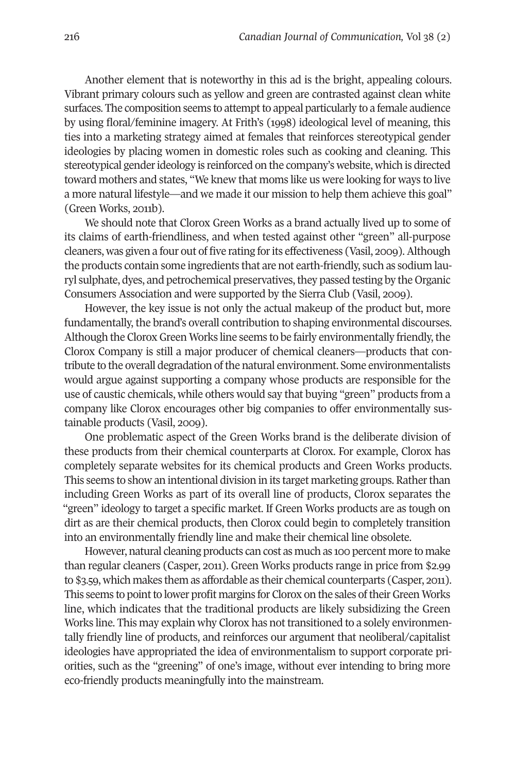Another element that is noteworthy in this ad is the bright, appealing colours. Vibrant primary colours such as yellow and green are contrasted against clean white surfaces. The composition seems to attempt to appeal particularly to a female audience by using floral/feminine imagery. At Frith's (1998) ideological level of meaning, this ties into a marketing strategy aimed at females that reinforces stereotypical gender ideologies by placing women in domestic roles such as cooking and cleaning. This stereotypical genderideology is reinforced on the company's website, which is directed toward mothers and states, "We knew that moms like us were looking for ways to live a more natural lifestyle—and we made it our mission to help them achieve this goal" (Green Works, 2011b).

We should note that Clorox Green Works as a brand actually lived up to some of its claims of earth-friendliness, and when tested against other "green" all-purpose cleaners, was given a four out of five rating forits effectiveness (Vasil, 2009).Although the products contain some ingredients that are not earth-friendly, such as sodium lauryl sulphate, dyes, and petrochemical preservatives, they passed testing by the Organic Consumers Association and were supported by the Sierra Club (Vasil, 2009).

However, the key issue is not only the actual makeup of the product but, more fundamentally, the brand's overall contribution to shaping environmental discourses. Although the Clorox Green Works line seems to be fairly environmentally friendly, the Clorox Company is still a major producer of chemical cleaners—products that contribute to the overall degradation ofthe natural environment. Some environmentalists would argue against supporting a company whose products are responsible for the use of caustic chemicals, while others would say that buying "green" products from a company like Clorox encourages other big companies to offer environmentally sustainable products (Vasil, 2009).

One problematic aspect of the Green Works brand is the deliberate division of these products from their chemical counterparts at Clorox. For example, Clorox has completely separate websites for its chemical products and Green Works products. This seems to show an intentional division in its target marketing groups. Ratherthan including Green Works as part of its overall line of products, Clorox separates the "green" ideology to target a specific market. If Green Works products are as tough on dirt as are their chemical products, then Clorox could begin to completely transition into an environmentally friendly line and make their chemical line obsolete.

However, natural cleaning products can cost as much as 100 percent more to make than regular cleaners (Casper, 2011). Green Works products range in price from \$2.99 to \$3.59, which makes them as affordable as their chemical counterparts (Casper, 2011). This seems to point to lower profit margins for Clorox on the sales of their Green Works line, which indicates that the traditional products are likely subsidizing the Green Works line. This may explain why Clorox has not transitioned to a solely environmentally friendly line of products, and reinforces our argument that neoliberal/capitalist ideologies have appropriated the idea of environmentalism to support corporate priorities, such as the "greening" of one's image, without ever intending to bring more eco-friendly products meaningfully into the mainstream.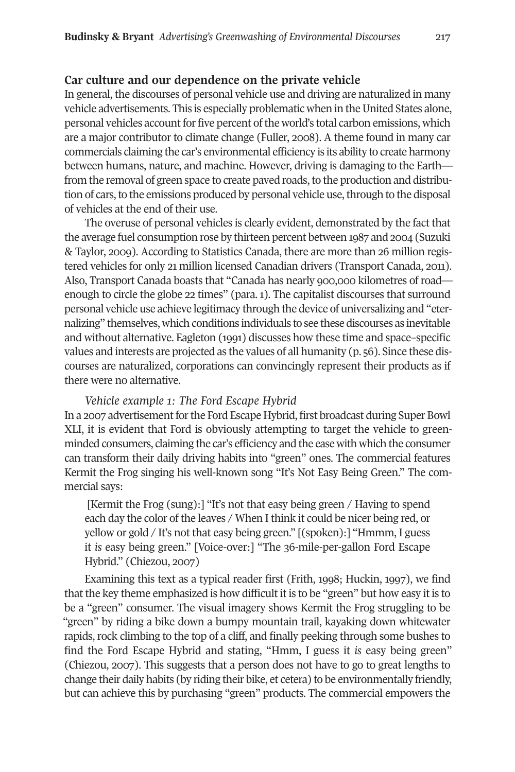# **Car culture and our dependence on the private vehicle**

In general, the discourses of personal vehicle use and driving are naturalized in many vehicle advertisements. This is especially problematic when in the United States alone, personal vehicles account for five percent of the world's total carbon emissions, which are a major contributor to climate change (Fuller, 2008). A theme found in many car commercials claiming the car's environmental efficiency is its ability to create harmony between humans, nature, and machine. However, driving is damaging to the Earth from the removal of green space to create paved roads, to the production and distribution of cars, to the emissions produced by personal vehicle use, through to the disposal of vehicles at the end of their use.

The overuse of personal vehicles is clearly evident, demonstrated by the fact that the average fuel consumption rose by thirteen percent between 1987 and 2004 (Suzuki & Taylor, 2009). According to Statistics Canada, there are more than 26 million registered vehicles for only 21 million licensed Canadian drivers (Transport Canada, 2011). Also, Transport Canada boasts that "Canada has nearly 900,000 kilometres of road enough to circle the globe 22 times" (para. 1). The capitalist discourses that surround personal vehicle use achieve legitimacy through the device of universalizing and "eternalizing" themselves, which conditions individuals to see these discourses as inevitable and without alternative. Eagleton (1991) discusses how these time and space–specific values and interests are projected as the values of all humanity (p. 56). Since these discourses are naturalized, corporations can convincingly represent their products as if there were no alternative.

## *Vehicle example 1: The Ford Escape Hybrid*

In a 2007 advertisement for the Ford Escape Hybrid, first broadcast during Super Bowl XLI, it is evident that Ford is obviously attempting to target the vehicle to greenminded consumers, claiming the car's efficiency and the ease with which the consumer can transform their daily driving habits into "green" ones. The commercial features Kermit the Frog singing his well-known song "It's Not Easy Being Green." The commercial says:

[Kermit the Frog (sung):] "It's not that easy being green / Having to spend each day the color of the leaves / When I think it could be nicer being red, or yellow or gold / It's not that easy being green." [(spoken):] "Hmmm, I guess it *is* easy being green." [Voice-over:] "The 36-mile-per-gallon Ford Escape Hybrid." (Chiezou, 2007)

Examining this text as a typical reader first (Frith, 1998; Huckin, 1997), we find that the key theme emphasized is how difficult it is to be "green" but how easy it is to be a "green" consumer. The visual imagery shows Kermit the Frog struggling to be "green" by riding a bike down a bumpy mountain trail, kayaking down whitewater rapids, rock climbing to the top of a cliff, and finally peeking through some bushes to find the Ford Escape Hybrid and stating, "Hmm, I guess it *is* easy being green" (Chiezou, 2007). This suggests that a person does not have to go to great lengths to change their daily habits (by riding their bike, et cetera) to be environmentally friendly, but can achieve this by purchasing "green" products. The commercial empowers the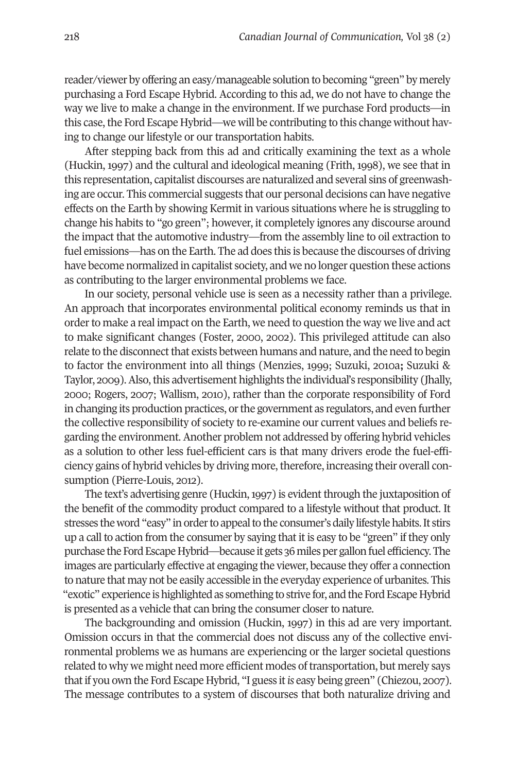reader/viewer by offering an easy/manageable solution to becoming "green" by merely purchasing a Ford Escape Hybrid. According to this ad, we do not have to change the way we live to make a change in the environment. If we purchase Ford products—in this case, the Ford Escape Hybrid—we will be contributing to this change without having to change our lifestyle or our transportation habits.

After stepping back from this ad and critically examining the text as a whole (Huckin, 1997) and the cultural and ideological meaning (Frith, 1998), we see that in this representation, capitalist discourses are naturalized and several sins of greenwashing are occur. This commercial suggests that our personal decisions can have negative effects on the Earth by showing Kermit in various situations where he is struggling to change his habits to "go green"; however, it completely ignores any discourse around the impact that the automotive industry—from the assembly line to oil extraction to fuel emissions—has on the Earth. The ad does this is because the discourses of driving have become normalized in capitalist society, and we no longer question these actions as contributing to the larger environmental problems we face.

In our society, personal vehicle use is seen as a necessity rather than a privilege. An approach that incorporates environmental political economy reminds us that in order to make a real impact on the Earth, we need to question the way we live and act to make significant changes (Foster, 2000, 2002). This privileged attitude can also relate to the disconnect that exists between humans and nature, and the need to begin to factor the environment into all things (Menzies, 1999; Suzuki, 2010a**;** Suzuki & Taylor, 2009).Also,this advertisement highlights the individual's responsibility (Jhally, 2000; Rogers, 2007; Wallism, 2010), rather than the corporate responsibility of Ford in changing its production practices, or the government as regulators, and even further the collective responsibility of society to re-examine our current values and beliefs regarding the environment. Another problem not addressed by offering hybrid vehicles as a solution to other less fuel-efficient cars is that many drivers erode the fuel-efficiency gains of hybrid vehicles by driving more, therefore, increasing their overall consumption (Pierre-Louis, 2012).

The text's advertising genre (Huckin,1997) is evident through the juxtaposition of the benefit of the commodity product compared to a lifestyle without that product. It stresses the word "easy" in order to appeal to the consumer's daily lifestyle habits. It stirs up a call to action from the consumer by saying that it is easy to be "green" if they only purchase the Ford Escape Hybrid—because it gets 36 miles per gallon fuel efficiency. The images are particularly effective at engaging the viewer, because they offer a connection to nature that may not be easily accessible in the everyday experience of urbanites. This "exotic" experience is highlighted as something to strive for, and the Ford Escape Hybrid is presented as a vehicle that can bring the consumer closer to nature.

The backgrounding and omission (Huckin, 1997) in this ad are very important. Omission occurs in that the commercial does not discuss any of the collective environmental problems we as humans are experiencing or the larger societal questions related to why we might need more efficient modes of transportation, but merely says thatif you own the Ford Escape Hybrid, "I guess it*is* easy being green" (Chiezou, 2007). The message contributes to a system of discourses that both naturalize driving and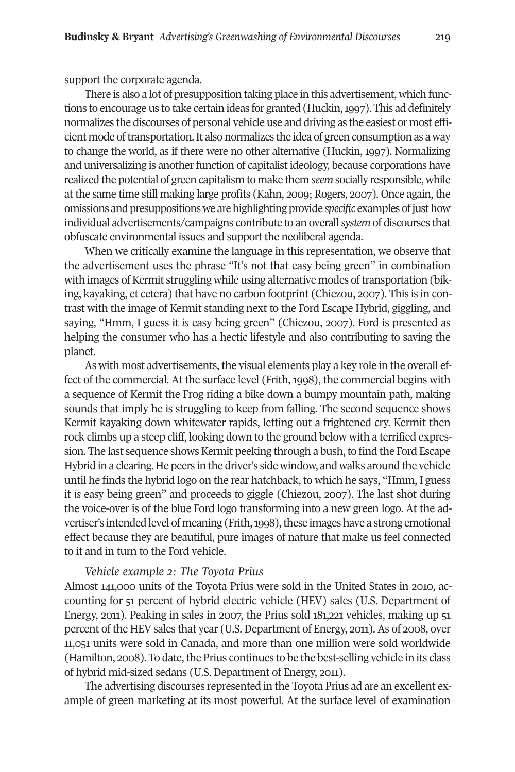support the corporate agenda.

There is also a lot of presupposition taking place in this advertisement, which functions to encourage us to take certain ideas for granted (Huckin,1997). This ad definitely normalizes the discourses of personal vehicle use and driving as the easiest or most efficient mode of transportation. It also normalizes the idea of green consumption as a way to change the world, as if there were no other alternative (Huckin, 1997). Normalizing and universalizing is another function of capitalist ideology, because corporations have realized the potential of green capitalism to make them *seem* socially responsible, while at the same time still making large profits (Kahn, 2009; Rogers, 2007). Once again, the omissions and presuppositions we are highlighting provide *specific* examples of just how individual advertisements/campaigns contribute to an overall*system* of discourses that obfuscate environmental issues and support the neoliberal agenda.

When we critically examine the language in this representation, we observe that the advertisement uses the phrase "It's not that easy being green" in combination with images of Kermit struggling while using alternative modes of transportation (biking, kayaking, et cetera) that have no carbon footprint (Chiezou, 2007). This is in contrast with the image of Kermit standing next to the Ford Escape Hybrid, giggling, and saying, "Hmm, I guess it *is* easy being green" (Chiezou, 2007). Ford is presented as helping the consumer who has a hectic lifestyle and also contributing to saving the planet.

As with most advertisements, the visual elements play a key role in the overall effect of the commercial. At the surface level (Frith, 1998), the commercial begins with a sequence of Kermit the Frog riding a bike down a bumpy mountain path, making sounds that imply he is struggling to keep from falling. The second sequence shows Kermit kayaking down whitewater rapids, letting out a frightened cry. Kermit then rock climbs up a steep cliff, looking down to the ground below with a terrified expression. The last sequence shows Kermit peeking through a bush, to find the Ford Escape Hybrid in a clearing. He peers in the driver's side window, and walks around the vehicle until he finds the hybrid logo on the rear hatchback, to which he says, "Hmm, I guess it *is* easy being green" and proceeds to giggle (Chiezou, 2007). The last shot during the voice-over is of the blue Ford logo transforming into a new green logo. At the advertiser's intended level of meaning (Frith, 1998), these images have a strong emotional effect because they are beautiful, pure images of nature that make us feel connected to it and in turn to the Ford vehicle.

### *Vehicle example 2: The Toyota Prius*

Almost 141,000 units of the Toyota Prius were sold in the United States in 2010, accounting for 51 percent of hybrid electric vehicle (HEV) sales (U.S. Department of Energy, 2011). Peaking in sales in 2007, the Prius sold 181,221 vehicles, making up 51 percent of the HEV sales that year (U.S. Department of Energy, 2011). As of 2008, over 11,051 units were sold in Canada, and more than one million were sold worldwide (Hamilton, 2008). To date, the Prius continues to be the best-selling vehicle in its class of hybrid mid-sized sedans (U.S. Department of Energy, 2011).

The advertising discourses represented in the Toyota Prius ad are an excellent example of green marketing at its most powerful. At the surface level of examination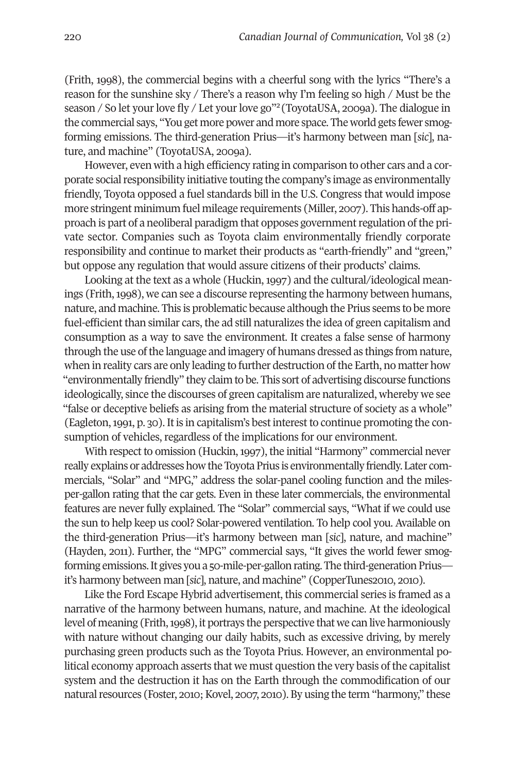(Frith, 1998), the commercial begins with a cheerful song with the lyrics "There's a reason for the sunshine sky / There's a reason why I'm feeling so high / Must be the season / So let your love fly / Let your love go"<sup>2</sup> (ToyotaUSA, 2009a). The dialogue in the commercial says, "You get more power and more space. The world gets fewer smogforming emissions. The third-generation Prius—it's harmony between man [*sic*], nature, and machine" (ToyotaUSA, 2009a).

However, even with a high efficiency rating in comparison to other cars and a corporate social responsibility initiative touting the company's image as environmentally friendly, Toyota opposed a fuel standards bill in the U.S. Congress that would impose more stringent minimum fuel mileage requirements (Miller, 2007). This hands-off approach is part of a neoliberal paradigm that opposes governmentregulation ofthe private sector. Companies such as Toyota claim environmentally friendly corporate responsibility and continue to market their products as "earth-friendly" and "green," but oppose any regulation that would assure citizens of their products' claims.

Looking at the text as a whole (Huckin, 1997) and the cultural/ideological meanings (Frith,1998), we can see a discourse representing the harmony between humans, nature, and machine. This is problematic because although the Prius seems to be more fuel-efficient than similar cars, the ad still naturalizes the idea of green capitalism and consumption as a way to save the environment. It creates a false sense of harmony through the use ofthe language and imagery of humans dressed as things from nature, when in reality cars are only leading to further destruction of the Earth, no matter how "environmentally friendly" they claim to be. This sort of advertising discourse functions ideologically, since the discourses of green capitalism are naturalized, whereby we see "false or deceptive beliefs as arising from the material structure of society as a whole" (Eagleton, 1991, p. 30). It is in capitalism's best interest to continue promoting the consumption of vehicles, regardless of the implications for our environment.

With respect to omission (Huckin,1997), the initial "Harmony" commercial never really explains or addresses how the Toyota Prius is environmentally friendly. Later commercials, "Solar" and "MPG," address the solar-panel cooling function and the milesper-gallon rating that the car gets. Even in these later commercials, the environmental features are never fully explained. The "Solar" commercial says, "What if we could use the sun to help keep us cool? Solar-powered ventilation. To help cool you. Available on the third-generation Prius—it's harmony between man [*sic*], nature, and machine" (Hayden, 2011). Further, the "MPG" commercial says, "It gives the world fewer smogforming emissions. It gives you a 50-mile-per-gallon rating. The third-generation Prius it's harmony between man [*sic*], nature, and machine" (CopperTunes2010, 2010).

Like the Ford Escape Hybrid advertisement, this commercial series is framed as a narrative of the harmony between humans, nature, and machine. At the ideological level of meaning (Frith, 1998), it portrays the perspective that we can live harmoniously with nature without changing our daily habits, such as excessive driving, by merely purchasing green products such as the Toyota Prius. However, an environmental political economy approach asserts that we must question the very basis of the capitalist system and the destruction it has on the Earth through the commodification of our natural resources (Foster, 2010; Kovel, 2007, 2010). By using the term "harmony," these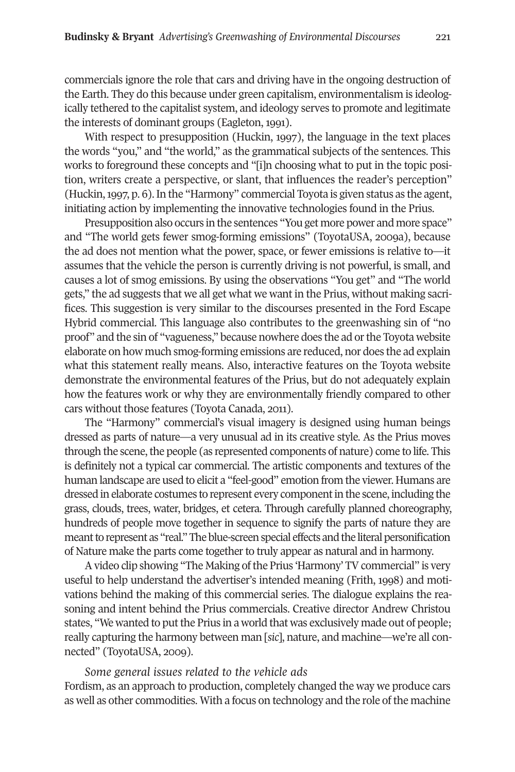commercials ignore the role that cars and driving have in the ongoing destruction of the Earth. They do this because under green capitalism, environmentalism is ideologically tethered to the capitalist system, and ideology serves to promote and legitimate the interests of dominant groups (Eagleton, 1991).

With respect to presupposition (Huckin, 1997), the language in the text places the words "you," and "the world," as the grammatical subjects of the sentences. This works to foreground these concepts and "[i]n choosing what to put in the topic position, writers create a perspective, or slant, that influences the reader's perception" (Huckin,1997, p. 6).In the "Harmony" commercial Toyota is given status as the agent, initiating action by implementing the innovative technologies found in the Prius.

Presupposition also occurs in the sentences "You get more power and more space" and "The world gets fewer smog-forming emissions" (ToyotaUSA, 2009a), because the ad does not mention what the power, space, or fewer emissions is relative to—it assumes that the vehicle the person is currently driving is not powerful, is small, and causes a lot of smog emissions. By using the observations "You get" and "The world gets," the ad suggests that we all get what we want in the Prius, without making sacrifices. This suggestion is very similar to the discourses presented in the Ford Escape Hybrid commercial. This language also contributes to the greenwashing sin of "no proof" and the sin of "vagueness," because nowhere does the ad orthe Toyota website elaborate on how much smog-forming emissions are reduced, nor does the ad explain what this statement really means. Also, interactive features on the Toyota website demonstrate the environmental features of the Prius, but do not adequately explain how the features work or why they are environmentally friendly compared to other cars without those features (Toyota Canada, 2011).

The "Harmony" commercial's visual imagery is designed using human beings dressed as parts of nature—a very unusual ad in its creative style. As the Prius moves through the scene, the people (as represented components of nature) come to life. This is definitely not a typical car commercial. The artistic components and textures of the human landscape are used to elicit a "feel-good" emotion from the viewer. Humans are dressed in elaborate costumes to represent every component in the scene, including the grass, clouds, trees, water, bridges, et cetera. Through carefully planned choreography, hundreds of people move together in sequence to signify the parts of nature they are meant to represent as "real." The blue-screen special effects and the literal personification of Nature make the parts come together to truly appear as natural and in harmony.

A video clip showing "The Making of the Prius 'Harmony' TV commercial" is very useful to help understand the advertiser's intended meaning (Frith, 1998) and motivations behind the making of this commercial series. The dialogue explains the reasoning and intent behind the Prius commercials. Creative director Andrew Christou states, "We wanted to put the Prius in a world that was exclusively made out of people; really capturing the harmony between man [*sic*], nature, and machine—we're all connected" (ToyotaUSA, 2009).

## *Some general issues related to the vehicle ads*

Fordism, as an approach to production, completely changed the way we produce cars as well as other commodities. With a focus on technology and the role of the machine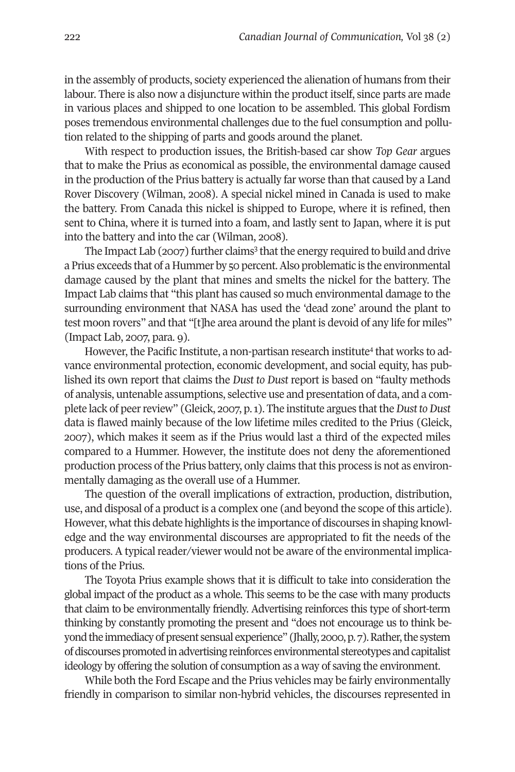in the assembly of products, society experienced the alienation of humans from their labour. There is also now a disjuncture within the product itself, since parts are made in various places and shipped to one location to be assembled. This global Fordism poses tremendous environmental challenges due to the fuel consumption and pollution related to the shipping of parts and goods around the planet.

With respect to production issues, the British-based car show *Top Gear* argues that to make the Prius as economical as possible, the environmental damage caused in the production of the Prius battery is actually far worse than that caused by a Land Rover Discovery (Wilman, 2008). A special nickel mined in Canada is used to make the battery. From Canada this nickel is shipped to Europe, where it is refined, then sent to China, where it is turned into a foam, and lastly sent to Japan, where it is put into the battery and into the car (Wilman, 2008).

The Impact Lab (2007) further claims<sup>3</sup> that the energy required to build and drive a Prius exceeds that of a Hummer by 50 percent.Also problematic is the environmental damage caused by the plant that mines and smelts the nickel for the battery. The Impact Lab claims that "this plant has caused so much environmental damage to the surrounding environment that NASA has used the 'dead zone' around the plant to test moon rovers" and that "[t]he area around the plant is devoid of any life for miles" (Impact Lab, 2007, para. 9).

However, the Pacific Institute, a non-partisan research institute<sup>4</sup> that works to advance environmental protection, economic development, and social equity, has published its own report that claims the *Dust to Dust* report is based on "faulty methods of analysis, untenable assumptions, selective use and presentation of data, and a complete lack of peer review" (Gleick, 2007, p. 1). The institute argues that the *Dust* to *Dust* data is flawed mainly because of the low lifetime miles credited to the Prius (Gleick, 2007), which makes it seem as if the Prius would last a third of the expected miles compared to a Hummer. However, the institute does not deny the aforementioned production process of the Prius battery, only claims that this process is not as environmentally damaging as the overall use of a Hummer.

The question of the overall implications of extraction, production, distribution, use, and disposal of a product is a complex one (and beyond the scope of this article). However, whatthis debate highlights is the importance of discourses in shaping knowledge and the way environmental discourses are appropriated to fit the needs of the producers. A typical reader/viewer would not be aware of the environmental implications of the Prius.

The Toyota Prius example shows that it is difficult to take into consideration the global impact of the product as a whole. This seems to be the case with many products that claim to be environmentally friendly. Advertising reinforces this type of short-term thinking by constantly promoting the present and "does not encourage us to think beyond the immediacy of present sensual experience" (Jhally, 2000, p. 7). Rather, the system ofdiscoursespromotedinadvertising reinforces environmental stereotypes andcapitalist ideology by offering the solution of consumption as a way of saving the environment.

While both the Ford Escape and the Prius vehicles may be fairly environmentally friendly in comparison to similar non-hybrid vehicles, the discourses represented in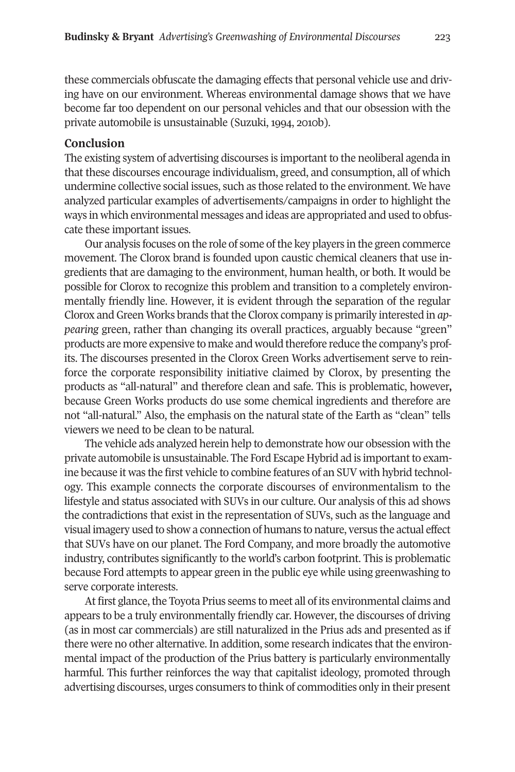these commercials obfuscate the damaging effects that personal vehicle use and driving have on our environment. Whereas environmental damage shows that we have become far too dependent on our personal vehicles and that our obsession with the private automobile is unsustainable (Suzuki, 1994, 2010b).

## **Conclusion**

The existing system of advertising discourses is important to the neoliberal agenda in that these discourses encourage individualism, greed, and consumption, all of which undermine collective social issues, such as those related to the environment. We have analyzed particular examples of advertisements/campaigns in order to highlight the ways in which environmental messages and ideas are appropriated and used to obfuscate these important issues.

Our analysis focuses on the role of some of the key players in the green commerce movement. The Clorox brand is founded upon caustic chemical cleaners that use ingredients that are damaging to the environment, human health, or both. It would be possible for Clorox to recognize this problem and transition to a completely environmentally friendly line. However, it is evident through th**e** separation of the regular Clorox and Green Works brands that the Clorox company is primarily interested in *appearing* green, rather than changing its overall practices, arguably because "green" products are more expensive to make and would therefore reduce the company's profits. The discourses presented in the Clorox Green Works advertisement serve to reinforce the corporate responsibility initiative claimed by Clorox, by presenting the products as "all-natural" and therefore clean and safe. This is problematic, however**,** because Green Works products do use some chemical ingredients and therefore are not "all-natural." Also, the emphasis on the natural state of the Earth as "clean" tells viewers we need to be clean to be natural.

The vehicle ads analyzed herein help to demonstrate how our obsession with the private automobile is unsustainable. The Ford Escape Hybrid ad is importantto examine because it was the first vehicle to combine features of an SUV with hybrid technology. This example connects the corporate discourses of environmentalism to the lifestyle and status associated with SUVs in our culture. Our analysis of this ad shows the contradictions that exist in the representation of SUVs, such as the language and visual imagery used to show a connection of humans to nature, versus the actual effect that SUVs have on our planet. The Ford Company, and more broadly the automotive industry, contributes significantly to the world's carbon footprint. This is problematic because Ford attempts to appear green in the public eye while using greenwashing to serve corporate interests.

At first glance, the Toyota Prius seems to meet all of its environmental claims and appears to be a truly environmentally friendly car. However, the discourses of driving (as in most car commercials) are still naturalized in the Prius ads and presented as if there were no other alternative. In addition, some research indicates that the environmental impact of the production of the Prius battery is particularly environmentally harmful. This further reinforces the way that capitalist ideology, promoted through advertising discourses, urges consumers to think of commodities only in their present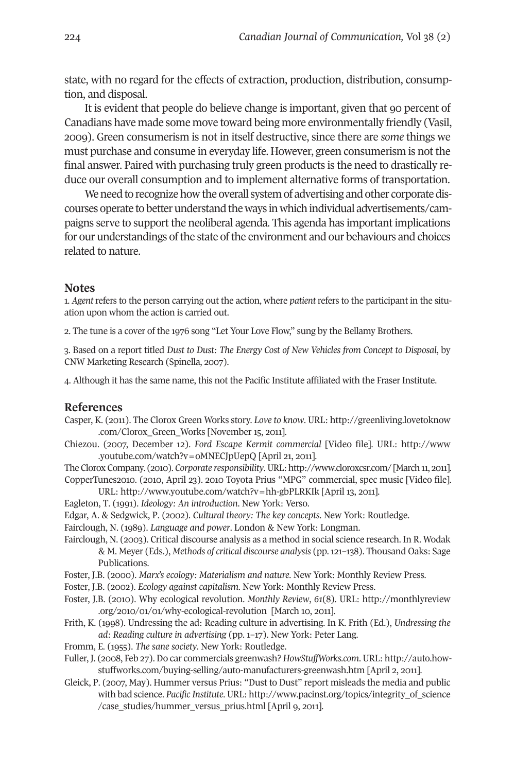state, with no regard for the effects of extraction, production, distribution, consumption, and disposal.

It is evident that people do believe change is important, given that 90 percent of Canadians have made some move toward being more environmentally friendly (Vasil, 2009). Green consumerism is not in itself destructive, since there are *some* things we must purchase and consume in everyday life. However, green consumerism is not the final answer. Paired with purchasing truly green products is the need to drastically reduce our overall consumption and to implement alternative forms of transportation.

We need to recognize how the overall system of advertising and other corporate discourses operate to betterunderstand theways inwhichindividual advertisements/campaigns serve to support the neoliberal agenda. This agenda has important implications for our understandings of the state of the environment and our behaviours and choices related to nature.

### **Notes**

1. *Agent* refers to the person carrying out the action, where *patient* refers to the participant in the situation upon whom the action is carried out.

2. The tune is a cover of the 1976 song "Let Your Love Flow," sung by the Bellamy Brothers.

3. Based on a report titled *Dust to Dust: The Energy Cost of New Vehicles from Concept to Disposal*, by CNW Marketing Research (Spinella, 2007).

4. Although it has the same name, this not the Pacific Institute affiliated with the Fraser Institute.

### **References**

- Casper, K. (2011). The Clorox Green Works story. *Love to know*. URL: [http://greenliving.lovetoknow](http://greenliving.lovetoknow.com/Clorox_Green_Works) [.com/Clorox\\_Green\\_Works](http://greenliving.lovetoknow.com/Clorox_Green_Works) [November 15, 2011].
- Chiezou. (2007, December 12). *Ford Escape Kermit commercial* [Video file]. URL: [http://www](http://www.youtube.com/watch?v=oMNECJpUepQ) [.youtube.com/watch?v=oMNECJpUepQ](http://www.youtube.com/watch?v=oMNECJpUepQ) [April 21, 2011].
- TheCloroxCompany. (2010).*Corporate responsibility*. URL:<http://www.cloroxcsr.com/> [March11, 2011]. CopperTunes2010. (2010, April 23). 2010 Toyota Prius "MPG" commercial, spec music [Video file]. URL: <http://www.youtube.com/watch?v=hh-gbPLRKIk> [April 13, 2011].
- Eagleton, T. (1991). *Ideology: An introduction*. New York: Verso.
- Edgar, A. & Sedgwick, P. (2002). *Cultural theory: The key concepts*. New York: Routledge.
- Fairclough, N. (1989). *Language and power*. London & New York: Longman.
- Fairclough, N. (2003). Critical discourse analysis as a method in social science research. In R. Wodak & M. Meyer (Eds.), *Me*t*hods of critical discourse analysis* (pp.121–138). Thousand Oaks: Sage Publications.
- Foster, J.B. (2000). *Marx's ecology: Materialism and nature*. New York: Monthly Review Press.
- Foster, J.B. (2002). *Ecology against capitalism*. New York: Monthly Review Press.
- Foster, J.B. (2010). Why ecological revolution. *Monthly Review*, *61*(8). URL: [http://monthlyreview](http://monthlyreview.org/2010/01/01/why-ecological-revolution) [.org/2010/01/01/why-ecological-revolution](http://monthlyreview.org/2010/01/01/why-ecological-revolution) [March 10, 2011].
- Frith, K. (1998). Undressing the ad: Reading culture in advertising. In K. Frith (Ed.), *Undressing the ad: Reading culture in advertising* (pp. 1–17). New York: Peter Lang.
- Fromm, E. (1955). *The sane society*. New York: Routledge.
- Fuller, J. (2008, Feb 27). Do car commercials greenwash? *HowStuffWorks.com*. URL: [http://auto.how](http://auto.howstuffworks.com/buying-selling/auto-manufacturers-greenwash.htm)[stuffworks.com/buying-selling/auto-manufacturers-greenwash.htm](http://auto.howstuffworks.com/buying-selling/auto-manufacturers-greenwash.htm) [April 2, 2011].
- Gleick, P. (2007, May). Hummer versus Prius: "Dust to Dust" report misleads the media and public with bad science. *Pacific Institute*. URL: [http://www.pacinst.org/topics/integrity\\_of\\_science](http://www.pacinst.org/topics/integrity_of_science/case_studies/hummer_versus_prius.html) [/case\\_studies/hummer\\_versus\\_prius.html](http://www.pacinst.org/topics/integrity_of_science/case_studies/hummer_versus_prius.html) [April 9, 2011].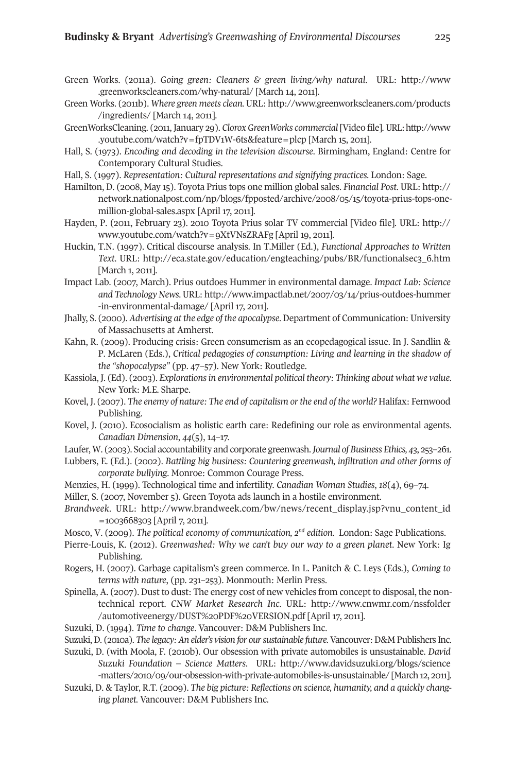- Green Works. (2011a). *Going green: Cleaners & green living/why natural*. URL: [http://www](http://www.greenworkscleaners.com/why-natural/) [.greenworkscleaners.com/why-natural/](http://www.greenworkscleaners.com/why-natural/) [March 14, 2011].
- Green Works. (2011b). *Where green meets clean.* URL: [http://www.greenworkscleaners.com/products](http://www.greenworkscleaners.com/products/ingredients/) [/ingredients/](http://www.greenworkscleaners.com/products/ingredients/) [March 14, 2011].
- GreenWorksCleaning. (2011, January 29). *Clorox GreenWorks commercial* [Video file]. URL[:http://www](http://www.youtube.com/watch?v=fpTDV1W-6ts&feature=plcp) [.youtube.com/watch?v=fpTDV1W-6ts&feature=plcp](http://www.youtube.com/watch?v=fpTDV1W-6ts&feature=plcp) [March 15, 2011].
- Hall, S. (1973). *Encoding and decoding in the television discourse*. Birmingham, England: Centre for Contemporary Cultural Studies.
- Hall, S. (1997). *Representation: Cultural representations and signifying practices.* London: Sage.
- Hamilton, D. (2008, May 15). Toyota Prius tops one million global sales. *Financial Post*. URL: [http://](http://network.nationalpost.com/np/blogs/fpposted/archive/2008/05/15/toyota-prius-tops-one-million-global-sales.aspx) [network.nationalpost.com/np/blogs/fpposted/archive/2008/05/15/toyota-prius-tops-one](http://network.nationalpost.com/np/blogs/fpposted/archive/2008/05/15/toyota-prius-tops-one-million-global-sales.aspx)[million-global-sales.aspx](http://network.nationalpost.com/np/blogs/fpposted/archive/2008/05/15/toyota-prius-tops-one-million-global-sales.aspx) [April 17, 2011].
- Hayden, P. (2011, February 23). 2010 Toyota Prius solar TV commercial [Video file]. URL: [http://](http://www.youtube.com/watch?v=9XtVNsZRAFg) [www.youtube.com/watch?v=9XtVNsZRAFg](http://www.youtube.com/watch?v=9XtVNsZRAFg) [April 19, 2011].
- Huckin, T.N. (1997). Critical discourse analysis. In T.Miller (Ed.), *Functional Approaches to Written Text*. URL: [http://eca.state.gov/education/engteaching/pubs/BR/functionalsec3\\_6.htm](http://eca.state.gov/education/engteaching/pubs/BR/functionalsec3_6.htm) [March 1, 2011].
- Impact Lab. (2007, March). Prius outdoes Hummer in environmental damage. *Impact Lab: Science and Technology News*. URL: [http://www.impactlab.net/2007/03/14/prius-outdoes-hummer](http://www.impactlab.net/2007/03/14/prius-outdoes-hummer-in-environmental-damage/) [-in-environmental-damage/](http://www.impactlab.net/2007/03/14/prius-outdoes-hummer-in-environmental-damage/) [April 17, 2011].
- Jhally, S. (2000). *Advertising at the edge of the apocalypse*. Department of Communication: University of Massachusetts at Amherst.
- Kahn, R. (2009). Producing crisis: Green consumerism as an ecopedagogical issue. In J. Sandlin & P. McLaren (Eds.), *Critical pedagogies of consumption: Living and learning in the shadow of the "shopocalypse"* (pp. 47–57). New York: Routledge.
- Kassiola, J. (Ed). (2003). *Explorationsin environmental political theory: Thinking about what we value*. New York: M.E. Sharpe.
- Kovel, J. (2007). *The enemy of nature: The end of capitalism orthe end of the world?* Halifax: Fernwood Publishing.
- Kovel, J. (2010). Ecosocialism as holistic earth care: Redefining our role as environmental agents. *Canadian Dimension*, *44*(5), 14–17.
- Laufer, W. (2003). Social accountability and corporate greenwash.*Journal of Business Ethics, 43*, 253–261.
- Lubbers, E. (Ed.). (2002). *Battling big business: Countering greenwash, infiltration and other forms of corporate bullying*. Monroe: Common Courage Press.
- Menzies, H. (1999). Technological time and infertility. *Canadian Woman Studies*, *18*(4), 69–74.
- Miller, S. (2007, November 5). Green Toyota ads launch in a hostile environment.
- *Brandweek*. URL: [http://www.brandweek.com/bw/news/recent\\_display.jsp?vnu\\_content\\_id](http://www.brandweek.com/bw/news/recent_display.jsp?vnu_content_id=1003668303) [=1003668303](http://www.brandweek.com/bw/news/recent_display.jsp?vnu_content_id=1003668303) [April 7, 2011].
- Mosco, V. (2009). *The political economy of communication, 2nd edition.* London: Sage Publications.
- Pierre-Louis, K. (2012). *Greenwashed: Why we can't buy our way to a green planet*. New York: Ig Publishing.
- Rogers, H. (2007). Garbage capitalism's green commerce. In L. Panitch & C. Leys (Eds.), *Coming to terms with nature*, (pp. 231–253). Monmouth: Merlin Press.
- Spinella, A. (2007). Dust to dust: The energy cost of new vehicles from concept to disposal, the nontechnical report. *CNW Market Research Inc*. URL: [http://www.cnwmr.com/nssfolder](http://www.cnwmr.com/nssfolder/automotiveenergy/DUST%20PDF%20VERSION.pdf) [/automotiveenergy/DUST%20PDF%20VERSION.pdf](http://www.cnwmr.com/nssfolder/automotiveenergy/DUST%20PDF%20VERSION.pdf) [April 17, 2011].
- Suzuki, D. (1994). *Time to change*. Vancouver: D&M Publishers Inc.
- Suzuki,D. (2010a). *The legacy:An elder's vision for oursustainable future*.Vancouver:D&M Publishers Inc.
- Suzuki, D. (with Moola, F. (2010b). Our obsession with private automobiles is unsustainable. *David Suzuki Foundation – Science Matters*. URL: [http://www.davidsuzuki.org/blogs/science](http://www.davidsuzuki.org/blogs/science-matters/2010/09/our-obsession-with-private-automobiles-is-unsustainable/) [-matters/2010/09/our-obsession-with-private-automobiles-is-unsustainable/](http://www.davidsuzuki.org/blogs/science-matters/2010/09/our-obsession-with-private-automobiles-is-unsustainable/) [March 12, 2011].
- Suzuki, D. & Taylor, R.T. (2009). *The big picture: Reflections on science, humanity, and a quickly changing planet.* Vancouver: D&M Publishers Inc.